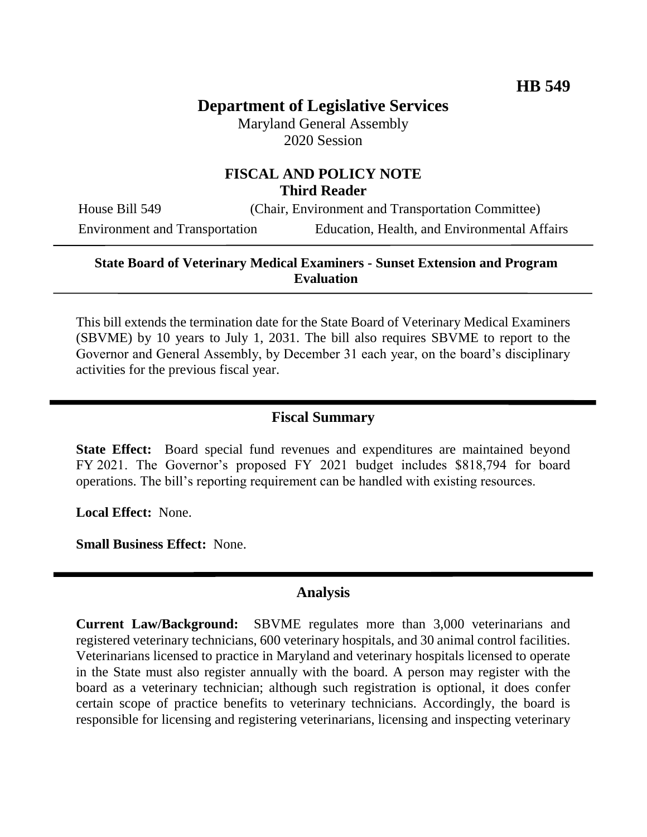# **Department of Legislative Services**

Maryland General Assembly 2020 Session

## **FISCAL AND POLICY NOTE Third Reader**

House Bill 549 (Chair, Environment and Transportation Committee) Environment and Transportation Education, Health, and Environmental Affairs

#### **State Board of Veterinary Medical Examiners - Sunset Extension and Program Evaluation**

This bill extends the termination date for the State Board of Veterinary Medical Examiners (SBVME) by 10 years to July 1, 2031. The bill also requires SBVME to report to the Governor and General Assembly, by December 31 each year, on the board's disciplinary activities for the previous fiscal year.

#### **Fiscal Summary**

**State Effect:** Board special fund revenues and expenditures are maintained beyond FY 2021. The Governor's proposed FY 2021 budget includes \$818,794 for board operations. The bill's reporting requirement can be handled with existing resources.

**Local Effect:** None.

**Small Business Effect:** None.

#### **Analysis**

**Current Law/Background:** SBVME regulates more than 3,000 veterinarians and registered veterinary technicians, 600 veterinary hospitals, and 30 animal control facilities. Veterinarians licensed to practice in Maryland and veterinary hospitals licensed to operate in the State must also register annually with the board. A person may register with the board as a veterinary technician; although such registration is optional, it does confer certain scope of practice benefits to veterinary technicians. Accordingly, the board is responsible for licensing and registering veterinarians, licensing and inspecting veterinary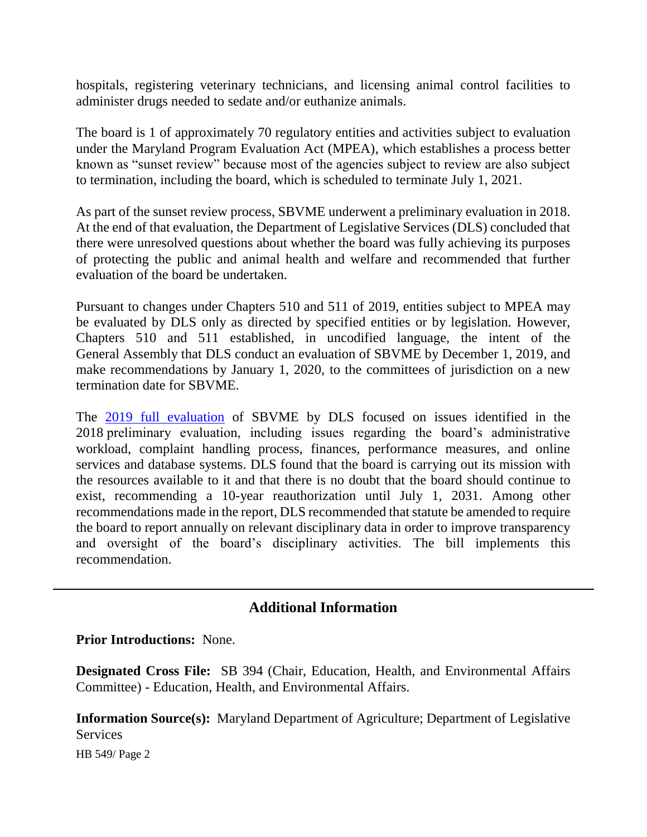hospitals, registering veterinary technicians, and licensing animal control facilities to administer drugs needed to sedate and/or euthanize animals.

The board is 1 of approximately 70 regulatory entities and activities subject to evaluation under the Maryland Program Evaluation Act (MPEA), which establishes a process better known as "sunset review" because most of the agencies subject to review are also subject to termination, including the board, which is scheduled to terminate July 1, 2021.

As part of the sunset review process, SBVME underwent a preliminary evaluation in 2018. At the end of that evaluation, the Department of Legislative Services (DLS) concluded that there were unresolved questions about whether the board was fully achieving its purposes of protecting the public and animal health and welfare and recommended that further evaluation of the board be undertaken.

Pursuant to changes under Chapters 510 and 511 of 2019, entities subject to MPEA may be evaluated by DLS only as directed by specified entities or by legislation. However, Chapters 510 and 511 established, in uncodified language, the intent of the General Assembly that DLS conduct an evaluation of SBVME by December 1, 2019, and make recommendations by January 1, 2020, to the committees of jurisdiction on a new termination date for SBVME.

The [2019 full evaluation](http://dls.maryland.gov/pubs/prod/SunsetRevAgri/VetMedExams/Full-Veterinary-Medical-Examiners-2019.pdf) of SBVME by DLS focused on issues identified in the 2018 preliminary evaluation, including issues regarding the board's administrative workload, complaint handling process, finances, performance measures, and online services and database systems. DLS found that the board is carrying out its mission with the resources available to it and that there is no doubt that the board should continue to exist, recommending a 10-year reauthorization until July 1, 2031. Among other recommendations made in the report, DLS recommended that statute be amended to require the board to report annually on relevant disciplinary data in order to improve transparency and oversight of the board's disciplinary activities. The bill implements this recommendation.

### **Additional Information**

**Prior Introductions:** None.

**Designated Cross File:** SB 394 (Chair, Education, Health, and Environmental Affairs Committee) - Education, Health, and Environmental Affairs.

**Information Source(s):** Maryland Department of Agriculture; Department of Legislative **Services** 

HB 549/ Page 2